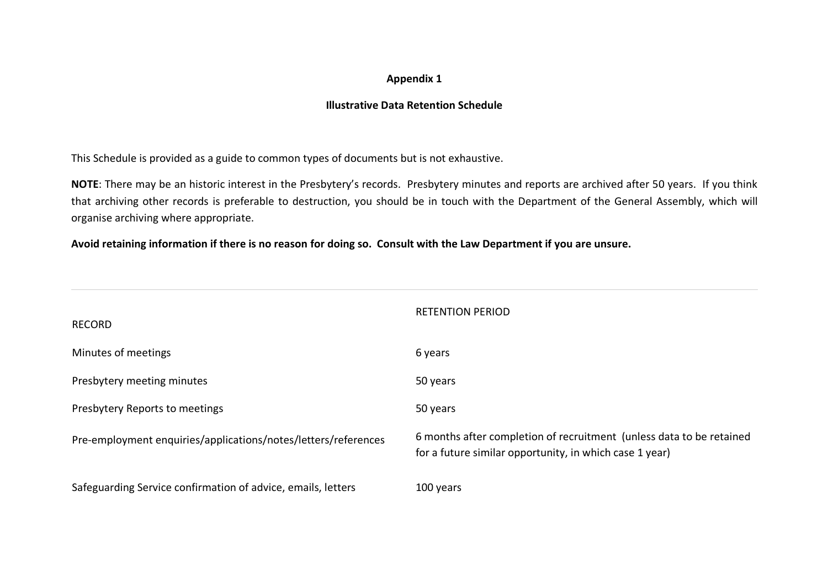## **Appendix 1**

## **Illustrative Data Retention Schedule**

This Schedule is provided as a guide to common types of documents but is not exhaustive.

**NOTE**: There may be an historic interest in the Presbytery's records. Presbytery minutes and reports are archived after 50 years. If you think that archiving other records is preferable to destruction, you should be in touch with the Department of the General Assembly, which will organise archiving where appropriate.

**Avoid retaining information if there is no reason for doing so. Consult with the Law Department if you are unsure.**

| <b>RECORD</b>                                                  | <b>RETENTION PERIOD</b>                                                                                                         |
|----------------------------------------------------------------|---------------------------------------------------------------------------------------------------------------------------------|
| Minutes of meetings                                            | 6 years                                                                                                                         |
| Presbytery meeting minutes                                     | 50 years                                                                                                                        |
| Presbytery Reports to meetings                                 | 50 years                                                                                                                        |
| Pre-employment enquiries/applications/notes/letters/references | 6 months after completion of recruitment (unless data to be retained<br>for a future similar opportunity, in which case 1 year) |
| Safeguarding Service confirmation of advice, emails, letters   | 100 years                                                                                                                       |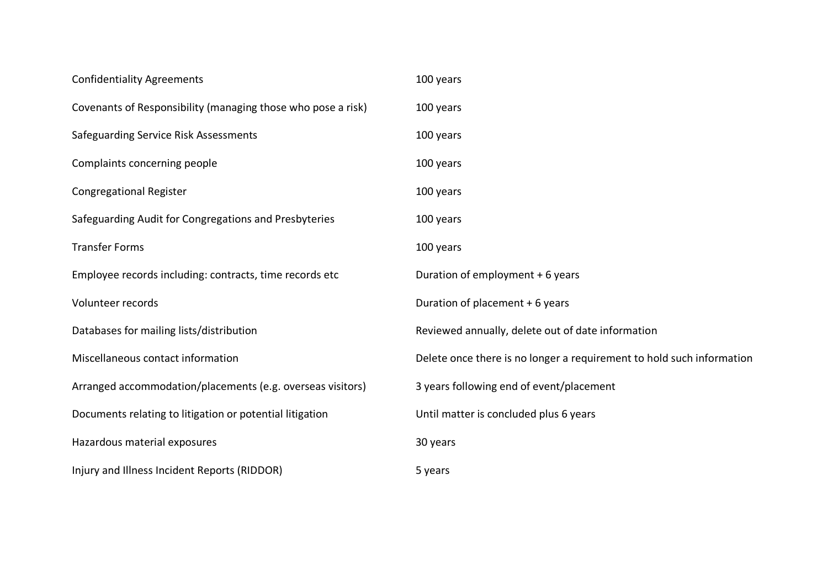| <b>Confidentiality Agreements</b>                            | 100 years                                                             |
|--------------------------------------------------------------|-----------------------------------------------------------------------|
| Covenants of Responsibility (managing those who pose a risk) | 100 years                                                             |
| Safeguarding Service Risk Assessments                        | 100 years                                                             |
| Complaints concerning people                                 | 100 years                                                             |
| <b>Congregational Register</b>                               | 100 years                                                             |
| Safeguarding Audit for Congregations and Presbyteries        | 100 years                                                             |
| <b>Transfer Forms</b>                                        | 100 years                                                             |
| Employee records including: contracts, time records etc      | Duration of employment + 6 years                                      |
| Volunteer records                                            | Duration of placement + 6 years                                       |
| Databases for mailing lists/distribution                     | Reviewed annually, delete out of date information                     |
| Miscellaneous contact information                            | Delete once there is no longer a requirement to hold such information |
| Arranged accommodation/placements (e.g. overseas visitors)   | 3 years following end of event/placement                              |
| Documents relating to litigation or potential litigation     | Until matter is concluded plus 6 years                                |
| Hazardous material exposures                                 | 30 years                                                              |
| Injury and Illness Incident Reports (RIDDOR)                 | 5 years                                                               |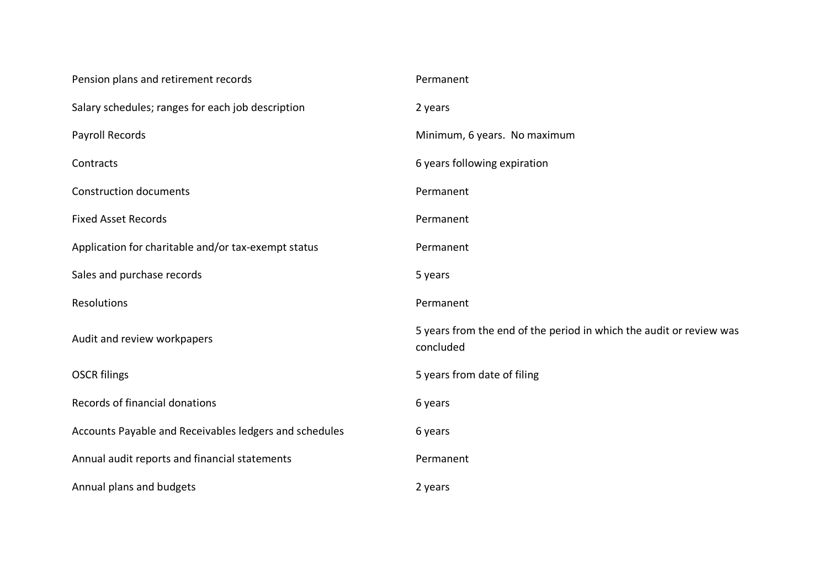| Pension plans and retirement records                   | Permanent                                                                        |
|--------------------------------------------------------|----------------------------------------------------------------------------------|
| Salary schedules; ranges for each job description      | 2 years                                                                          |
| Payroll Records                                        | Minimum, 6 years. No maximum                                                     |
| Contracts                                              | 6 years following expiration                                                     |
| <b>Construction documents</b>                          | Permanent                                                                        |
| <b>Fixed Asset Records</b>                             | Permanent                                                                        |
| Application for charitable and/or tax-exempt status    | Permanent                                                                        |
| Sales and purchase records                             | 5 years                                                                          |
| Resolutions                                            | Permanent                                                                        |
|                                                        |                                                                                  |
| Audit and review workpapers                            | 5 years from the end of the period in which the audit or review was<br>concluded |
| <b>OSCR filings</b>                                    | 5 years from date of filing                                                      |
| Records of financial donations                         | 6 years                                                                          |
| Accounts Payable and Receivables ledgers and schedules | 6 years                                                                          |
| Annual audit reports and financial statements          | Permanent                                                                        |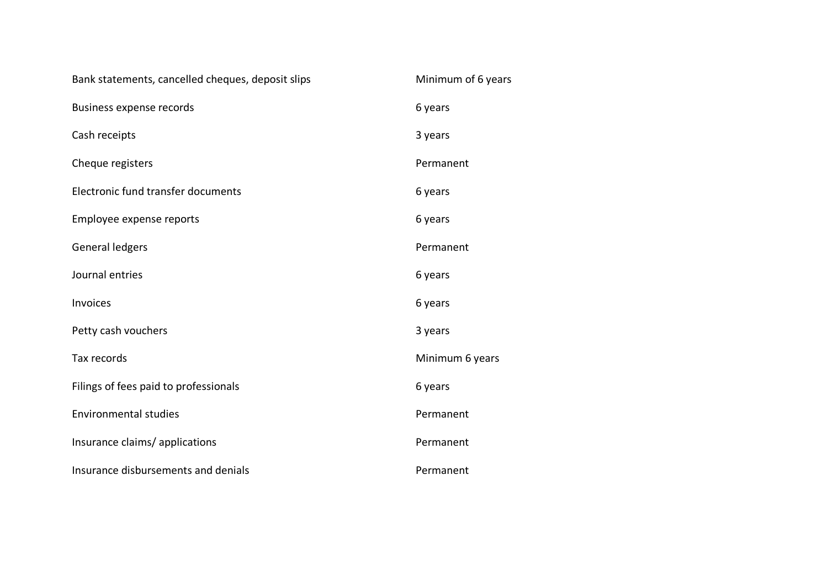| Bank statements, cancelled cheques, deposit slips | Minimum of 6 years |
|---------------------------------------------------|--------------------|
| Business expense records                          | 6 years            |
| Cash receipts                                     | 3 years            |
| Cheque registers                                  | Permanent          |
| Electronic fund transfer documents                | 6 years            |
| Employee expense reports                          | 6 years            |
| General ledgers                                   | Permanent          |
| Journal entries                                   | 6 years            |
| Invoices                                          | 6 years            |
| Petty cash vouchers                               | 3 years            |
| Tax records                                       | Minimum 6 years    |
| Filings of fees paid to professionals             | 6 years            |
| <b>Environmental studies</b>                      | Permanent          |
| Insurance claims/applications                     | Permanent          |
| Insurance disbursements and denials               | Permanent          |